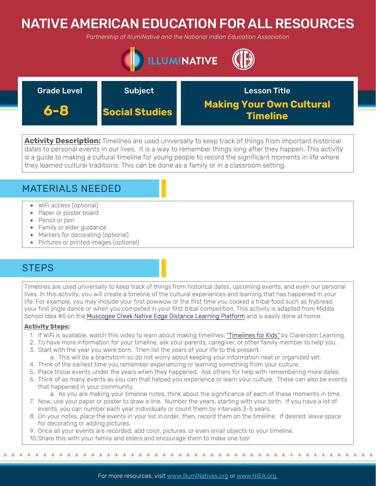# NATIVE AMERICAN EDUCATION FOR ALL RESOURCES

*Partnership of IllumiNative and the National Indian Education Association*



| <b>Grade Level</b> | Subject               | <b>Lesson Title</b>                         |
|--------------------|-----------------------|---------------------------------------------|
| 6-8                | <b>Social Studies</b> | <b>Making Your Own Cultural</b><br>Timeline |

**Activity Description:** Timelines are used universally to keep track of things from important historical dates to personal events in our lives. It is a way to remember things long after they happen. This activity is a guide to making a cultural timeline for young people to record the significant moments in life where they learned cultural traditions. This can be done as a family or in a classroom setting.

### MATERIALS NEEDED

- WiFi access (optional)
- Paper or poster board
- Pencil or pen
- Family or elder guidance
- Markers for decorating (optional)
- Pictures or printed images (optional)

## **STEPS**

Timelines are used universally to keep track of things from historical dates, upcoming events, and even our personal lives. In this activity, you will create a timeline of the cultural experiences and learning that has happened in your life. For example, you may include your first powwow or the first time you cooked a tribal food such as frybread, your first jingle dance or when you competed in your first tribal competition. This activity is adapted from Middle School Idea #5 on the [Muscogee Creek Native Edge Distance Learning Platform](https://www.mcnstep.com/wetumka-year-1-2-work) and is easily done at home.

### **Activity Steps:**

- 1. If WiFi is available, watch this video to learn about making timelines: ["Timelines for Kids"](https://www.youtube.com/watch?v=o50HA6QTxj0) by Clarendon Learning.
- 2. To have more information for your timeline, ask your parents, caregiver, or other family member to help you.
- 3. Start with the year you were born. Then list the years of your life to the present.
	- a. This will be a brainstorm so do not worry about keeping your information neat or organized yet.
- 4. Think of the earliest time you remember experiencing or learning something from your culture.
- 5. Place those events under the years when they happened. Ask others for help with remembering more dates.
- 6. Think of as many events as you can that helped you experience or learn your culture. These can also be events that happened in your community.
	- a. As you are making your timeline notes, think about the significance of each of these moments in time.
- 7. Now, use your paper or poster to draw a line. Number the years, starting with your birth. If you have a lot of events, you can number each year individually or count them by intervals 3-5 years.
- 8. On your notes, place the events in your list in order; then, record them on the timeline. If desired, leave space for decorating or adding pictures.
- 9. Once all your events are recorded, add color, pictures, or even small objects to your timeline.
- 10.Share this with your family and elders and encourage them to make one too!

+ + + + + + + + + + + + + + + + + + + + + + + + + + + + + + + + + + + + + + + + + + + + + + + +